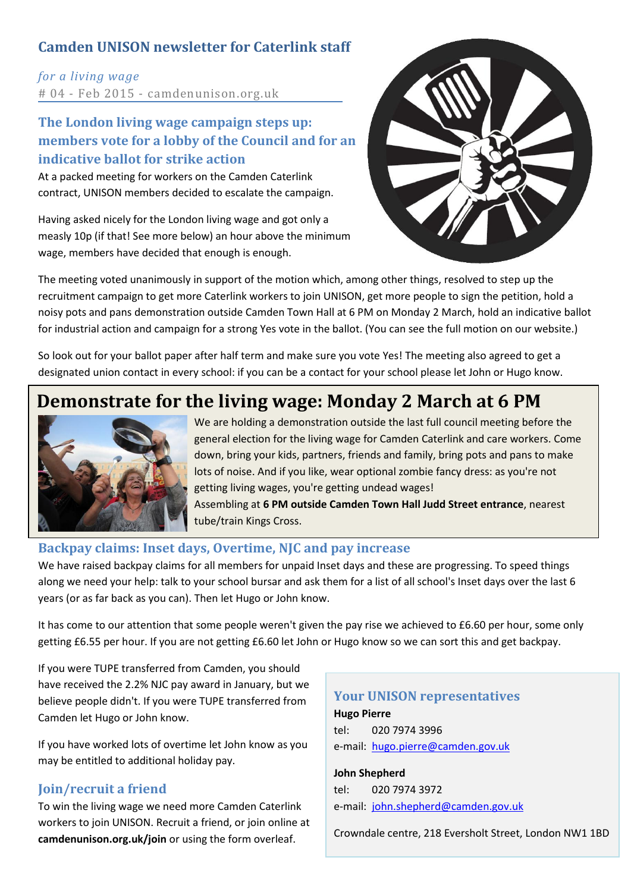### **Camden UNISON newsletter for Caterlink staff**

*for a living wage* # 04 - Feb 2015 - camdenunison.org.uk

### **The London living wage campaign steps up: members vote for a lobby of the Council and for an indicative ballot for strike action**

At a packed meeting for workers on the Camden Caterlink contract, UNISON members decided to escalate the campaign.

Having asked nicely for the London living wage and got only a measly 10p (if that! See more below) an hour above the minimum wage, members have decided that enough is enough.



The meeting voted unanimously in support of the motion which, among other things, resolved to step up the recruitment campaign to get more Caterlink workers to join UNISON, get more people to sign the petition, hold a noisy pots and pans demonstration outside Camden Town Hall at 6 PM on Monday 2 March, hold an indicative ballot for industrial action and campaign for a strong Yes vote in the ballot. (You can see the full motion on our website.)

So look out for your ballot paper after half term and make sure you vote Yes! The meeting also agreed to get a designated union contact in every school: if you can be a contact for your school please let John or Hugo know.

### **Demonstrate for the living wage: Monday 2 March at 6 PM**



We are holding a demonstration outside the last full council meeting before the general election for the living wage for Camden Caterlink and care workers. Come down, bring your kids, partners, friends and family, bring pots and pans to make lots of noise. And if you like, wear optional zombie fancy dress: as you're not getting living wages, you're getting undead wages! Assembling at **6 PM outside Camden Town Hall Judd Street entrance**, nearest tube/train Kings Cross.

### **Backpay claims: Inset days, Overtime, NJC and pay increase**

We have raised backpay claims for all members for unpaid Inset days and these are progressing. To speed things along we need your help: talk to your school bursar and ask them for a list of all school's Inset days over the last 6 years (or as far back as you can). Then let Hugo or John know.

It has come to our attention that some people weren't given the pay rise we achieved to £6.60 per hour, some only getting £6.55 per hour. If you are not getting £6.60 let John or Hugo know so we can sort this and get backpay.

If you were TUPE transferred from Camden, you should have received the 2.2% NJC pay award in January, but we believe people didn't. If you were TUPE transferred from Camden let Hugo or John know.

If you have worked lots of overtime let John know as you may be entitled to additional holiday pay.

### **Join/recruit a friend**

To win the living wage we need more Camden Caterlink workers to join UNISON. Recruit a friend, or join online at **camdenunison.org.uk/join** or using the form overleaf.

### **Your UNISON representatives Hugo Pierre** tel: 020 7974 3996

e-mail: [hugo.pierre@camden.gov.uk](mailto:hugo.pierre@camden.gov.uk)

**John Shepherd** tel: 020 7974 3972 e-mail: [john.shepherd@camden.gov.uk](mailto:john.shepherd@camden.gov.uk)

Crowndale centre, 218 Eversholt Street, London NW1 1BD